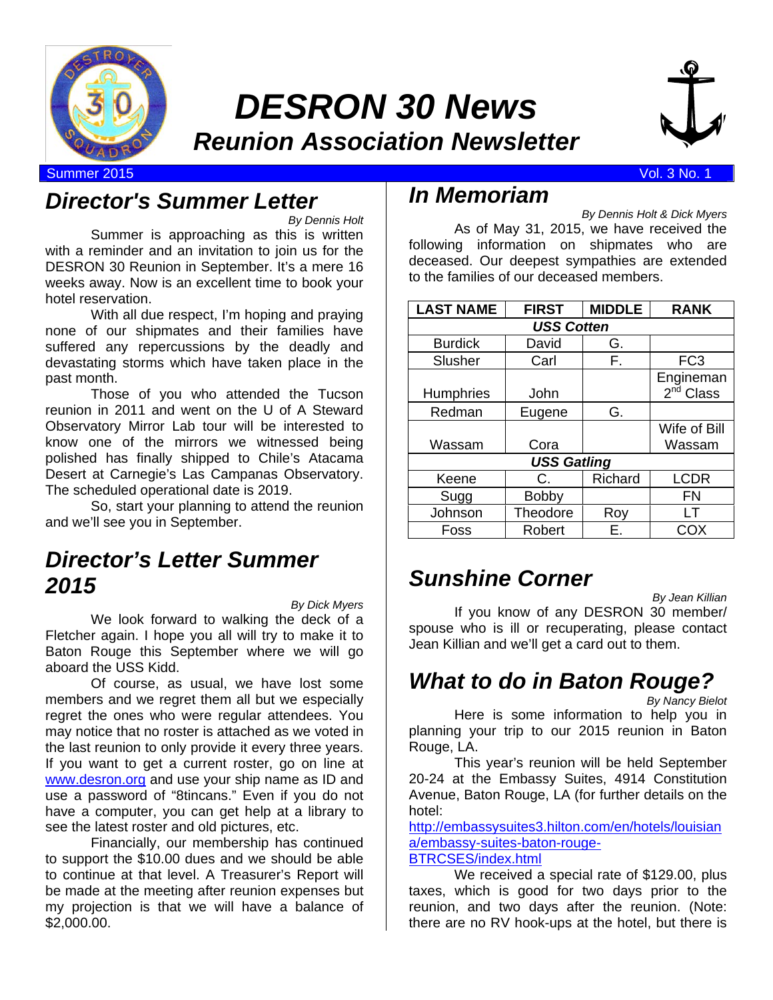

## *DESRON 30 News Reunion Association Newsletter*



Summer 2015 Vol. 3 No. 1

## *Director's Summer Letter*

*By Dennis Holt* 

Summer is approaching as this is written with a reminder and an invitation to join us for the DESRON 30 Reunion in September. It's a mere 16 weeks away. Now is an excellent time to book your hotel reservation.

With all due respect, I'm hoping and praying none of our shipmates and their families have suffered any repercussions by the deadly and devastating storms which have taken place in the past month.

Those of you who attended the Tucson reunion in 2011 and went on the U of A Steward Observatory Mirror Lab tour will be interested to know one of the mirrors we witnessed being polished has finally shipped to Chile's Atacama Desert at Carnegie's Las Campanas Observatory. The scheduled operational date is 2019.

So, start your planning to attend the reunion and we'll see you in September.

## *Director's Letter Summer 2015*

*By Dick Myers* 

We look forward to walking the deck of a Fletcher again. I hope you all will try to make it to Baton Rouge this September where we will go aboard the USS Kidd.

Of course, as usual, we have lost some members and we regret them all but we especially regret the ones who were regular attendees. You may notice that no roster is attached as we voted in the last reunion to only provide it every three years. If you want to get a current roster, go on line at www.desron.org and use your ship name as ID and use a password of "8tincans." Even if you do not have a computer, you can get help at a library to see the latest roster and old pictures, etc.

Financially, our membership has continued to support the \$10.00 dues and we should be able to continue at that level. A Treasurer's Report will be made at the meeting after reunion expenses but my projection is that we will have a balance of \$2,000.00.

## *In Memoriam*

*By Dennis Holt & Dick Myers* 

 As of May 31, 2015, we have received the following information on shipmates who are deceased. Our deepest sympathies are extended to the families of our deceased members.

| <b>LAST NAME</b>   | <b>FIRST</b> | <b>MIDDLE</b> | <b>RANK</b>           |  |  |  |
|--------------------|--------------|---------------|-----------------------|--|--|--|
| <b>USS Cotten</b>  |              |               |                       |  |  |  |
| <b>Burdick</b>     | David        | G.            |                       |  |  |  |
| Slusher            | Carl         | F.            | FC <sub>3</sub>       |  |  |  |
|                    |              |               | Engineman             |  |  |  |
| <b>Humphries</b>   | John         |               | 2 <sup>nd</sup> Class |  |  |  |
| Redman             | Eugene       | G.            |                       |  |  |  |
|                    |              |               | Wife of Bill          |  |  |  |
| Wassam             | Cora         |               | Wassam                |  |  |  |
| <b>USS Gatling</b> |              |               |                       |  |  |  |
| Keene              | C.           | Richard       | <b>LCDR</b>           |  |  |  |
| Sugg               | <b>Bobby</b> |               | FN                    |  |  |  |
| Johnson            | Theodore     | Roy           | I T                   |  |  |  |
| Foss               | Robert       | E.            | COX                   |  |  |  |

## *Sunshine Corner*

*By Jean Killian* 

If you know of any DESRON 30 member/ spouse who is ill or recuperating, please contact Jean Killian and we'll get a card out to them.

## *What to do in Baton Rouge?*

*By Nancy Bielot* 

Here is some information to help you in planning your trip to our 2015 reunion in Baton Rouge, LA.

 This year's reunion will be held September 20-24 at the Embassy Suites, 4914 Constitution Avenue, Baton Rouge, LA (for further details on the hotel:

http://embassysuites3.hilton.com/en/hotels/louisian a/embassy-suites-baton-rouge-BTRCSES/index.html

We received a special rate of \$129.00, plus taxes, which is good for two days prior to the reunion, and two days after the reunion. (Note: there are no RV hook-ups at the hotel, but there is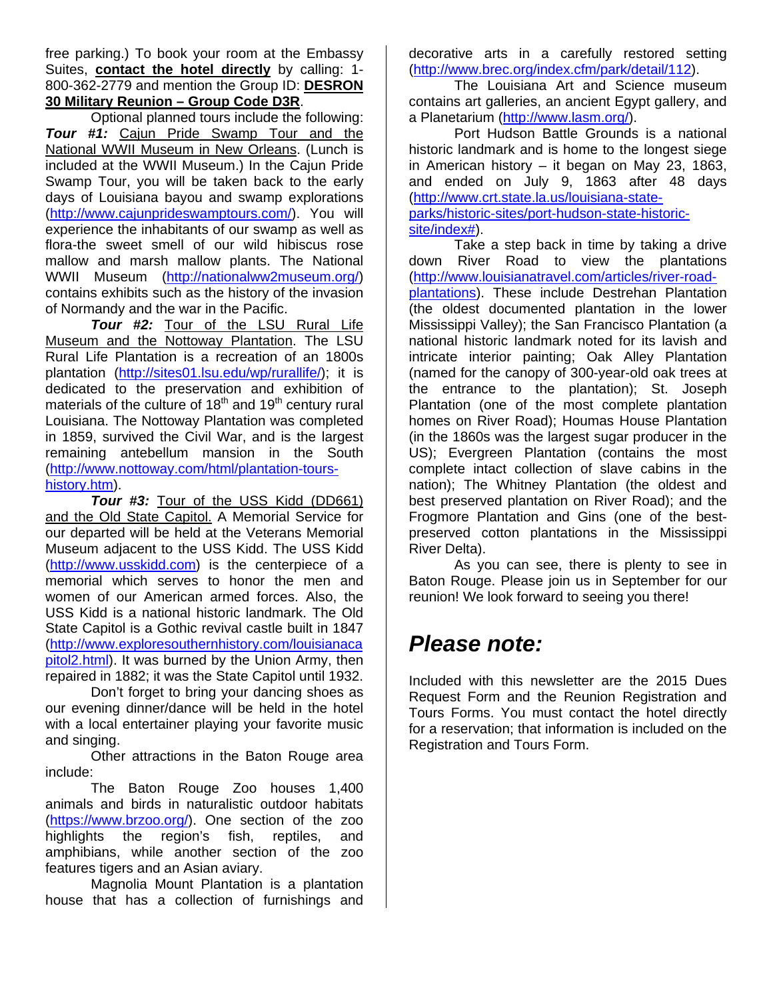free parking.) To book your room at the Embassy Suites, **contact the hotel directly** by calling: 1- 800-362-2779 and mention the Group ID: **DESRON 30 Military Reunion – Group Code D3R**.

Optional planned tours include the following: *Tour #1:* Cajun Pride Swamp Tour and the National WWII Museum in New Orleans. (Lunch is included at the WWII Museum.) In the Cajun Pride Swamp Tour, you will be taken back to the early days of Louisiana bayou and swamp explorations (http://www.cajunprideswamptours.com/). You will experience the inhabitants of our swamp as well as flora-the sweet smell of our wild hibiscus rose mallow and marsh mallow plants. The National WWII Museum (http://nationalww2museum.org/) contains exhibits such as the history of the invasion of Normandy and the war in the Pacific.

*Tour #2:* Tour of the LSU Rural Life Museum and the Nottoway Plantation. The LSU Rural Life Plantation is a recreation of an 1800s plantation (http://sites01.lsu.edu/wp/rurallife/); it is dedicated to the preservation and exhibition of materials of the culture of  $18<sup>th</sup>$  and  $19<sup>th</sup>$  century rural Louisiana. The Nottoway Plantation was completed in 1859, survived the Civil War, and is the largest remaining antebellum mansion in the South (http://www.nottoway.com/html/plantation-tourshistory.htm).

*Tour #3:* Tour of the USS Kidd (DD661) and the Old State Capitol. A Memorial Service for our departed will be held at the Veterans Memorial Museum adjacent to the USS Kidd. The USS Kidd (http://www.usskidd.com) is the centerpiece of a memorial which serves to honor the men and women of our American armed forces. Also, the USS Kidd is a national historic landmark. The Old State Capitol is a Gothic revival castle built in 1847 (http://www.exploresouthernhistory.com/louisianaca pitol2.html). It was burned by the Union Army, then repaired in 1882; it was the State Capitol until 1932.

Don't forget to bring your dancing shoes as our evening dinner/dance will be held in the hotel with a local entertainer playing your favorite music and singing.

Other attractions in the Baton Rouge area include:

The Baton Rouge Zoo houses 1,400 animals and birds in naturalistic outdoor habitats (https://www.brzoo.org/). One section of the zoo highlights the region's fish, reptiles, and amphibians, while another section of the zoo features tigers and an Asian aviary.

Magnolia Mount Plantation is a plantation house that has a collection of furnishings and decorative arts in a carefully restored setting (http://www.brec.org/index.cfm/park/detail/112).

The Louisiana Art and Science museum contains art galleries, an ancient Egypt gallery, and a Planetarium (http://www.lasm.org/).

Port Hudson Battle Grounds is a national historic landmark and is home to the longest siege in American history – it began on May 23, 1863, and ended on July 9, 1863 after 48 days (http://www.crt.state.la.us/louisiana-stateparks/historic-sites/port-hudson-state-historicsite/index#).

Take a step back in time by taking a drive down River Road to view the plantations (http://www.louisianatravel.com/articles/river-roadplantations). These include Destrehan Plantation (the oldest documented plantation in the lower Mississippi Valley); the San Francisco Plantation (a national historic landmark noted for its lavish and intricate interior painting; Oak Alley Plantation (named for the canopy of 300-year-old oak trees at the entrance to the plantation); St. Joseph Plantation (one of the most complete plantation homes on River Road); Houmas House Plantation (in the 1860s was the largest sugar producer in the US); Evergreen Plantation (contains the most complete intact collection of slave cabins in the nation); The Whitney Plantation (the oldest and best preserved plantation on River Road); and the Frogmore Plantation and Gins (one of the bestpreserved cotton plantations in the Mississippi River Delta).

As you can see, there is plenty to see in Baton Rouge. Please join us in September for our reunion! We look forward to seeing you there!

## *Please note:*

Included with this newsletter are the 2015 Dues Request Form and the Reunion Registration and Tours Forms. You must contact the hotel directly for a reservation; that information is included on the Registration and Tours Form.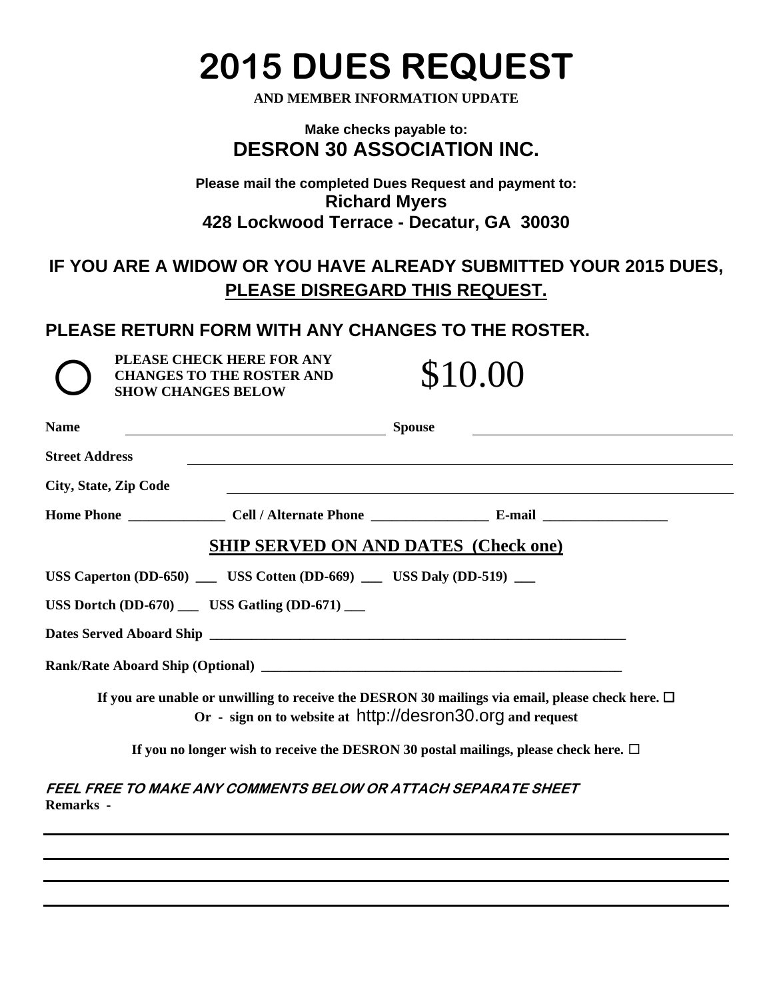# **2015 DUES REQUEST**

**AND MEMBER INFORMATION UPDATE** 

#### **Make checks payable to: DESRON 30 ASSOCIATION INC.**

#### **Please mail the completed Dues Request and payment to: Richard Myers 428 Lockwood Terrace - Decatur, GA 30030**

## **IF YOU ARE A WIDOW OR YOU HAVE ALREADY SUBMITTED YOUR 2015 DUES, PLEASE DISREGARD THIS REQUEST.**

### **PLEASE RETURN FORM WITH ANY CHANGES TO THE ROSTER.**

**PLEASE CHECK HERE FOR ANY CHANGES TO THE ROSTER AND SHOW CHANGES BELOW CHANGES TO THE ROSTER AND**  PLEASE CHECK HERE FOR ANY<br>CHANGES TO THE ROSTER AND \$10.00<br>SHOW CHANGES BELOW

| <b>Name</b>                  | <b>Spouse</b>                                                                                                                                                       |
|------------------------------|---------------------------------------------------------------------------------------------------------------------------------------------------------------------|
| <b>Street Address</b>        |                                                                                                                                                                     |
| <b>City, State, Zip Code</b> | <u> 1989 - Johann Stoff, deutscher Stoffen und der Stoffen und der Stoffen und der Stoffen und der Stoffen und de</u>                                               |
|                              |                                                                                                                                                                     |
|                              | <b>SHIP SERVED ON AND DATES (Check one)</b>                                                                                                                         |
|                              | USS Caperton (DD-650) $\qquad \qquad$ USS Cotten (DD-669) $\qquad \qquad$ USS Daly (DD-519) $\qquad \qquad$                                                         |
|                              | USS Dortch $(DD-670)$ _____ USS Gatling $(DD-671)$ ____                                                                                                             |
|                              |                                                                                                                                                                     |
|                              |                                                                                                                                                                     |
|                              | If you are unable or unwilling to receive the DESRON 30 mailings via email, please check here. $\Box$<br>Or - sign on to website at http://desron30.org and request |
|                              | If you no longer wish to receive the DESRON 30 postal mailings, please check here. $\Box$                                                                           |
| Remarks -                    | FEEL FREE TO MAKE ANY COMMENTS BELOW OR ATTACH SEPARATE SHEET                                                                                                       |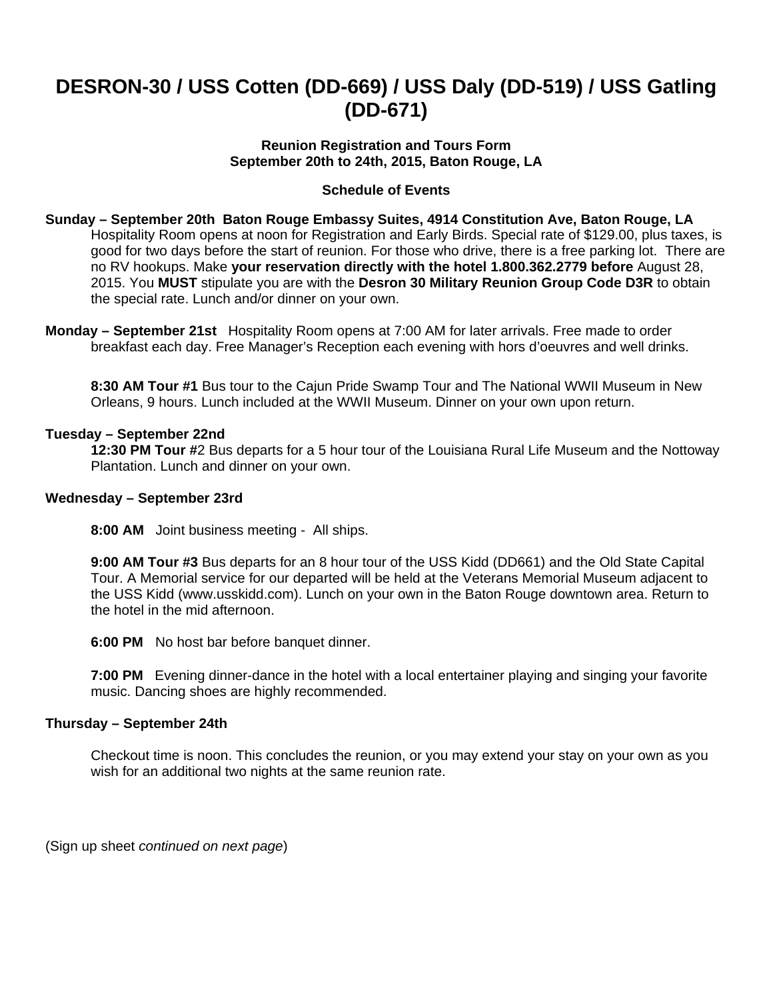## **DESRON-30 / USS Cotten (DD-669) / USS Daly (DD-519) / USS Gatling (DD-671)**

#### **Reunion Registration and Tours Form September 20th to 24th, 2015, Baton Rouge, LA**

#### **Schedule of Events**

**Sunday – September 20th Baton Rouge Embassy Suites, 4914 Constitution Ave, Baton Rouge, LA** Hospitality Room opens at noon for Registration and Early Birds. Special rate of \$129.00, plus taxes, is good for two days before the start of reunion. For those who drive, there is a free parking lot. There are no RV hookups. Make **your reservation directly with the hotel 1.800.362.2779 before** August 28, 2015. You **MUST** stipulate you are with the **Desron 30 Military Reunion Group Code D3R** to obtain the special rate. Lunch and/or dinner on your own.

**Monday – September 21st** Hospitality Room opens at 7:00 AM for later arrivals. Free made to order breakfast each day. Free Manager's Reception each evening with hors d'oeuvres and well drinks.

**8:30 AM Tour #1** Bus tour to the Cajun Pride Swamp Tour and The National WWII Museum in New Orleans, 9 hours. Lunch included at the WWII Museum. Dinner on your own upon return.

#### **Tuesday – September 22nd**

**12:30 PM Tour #**2 Bus departs for a 5 hour tour of the Louisiana Rural Life Museum and the Nottoway Plantation. Lunch and dinner on your own.

#### **Wednesday – September 23rd**

**8:00 AM** Joint business meeting - All ships.

**9:00 AM Tour #3** Bus departs for an 8 hour tour of the USS Kidd (DD661) and the Old State Capital Tour. A Memorial service for our departed will be held at the Veterans Memorial Museum adjacent to the USS Kidd (www.usskidd.com). Lunch on your own in the Baton Rouge downtown area. Return to the hotel in the mid afternoon.

**6:00 PM** No host bar before banquet dinner.

**7:00 PM** Evening dinner-dance in the hotel with a local entertainer playing and singing your favorite music. Dancing shoes are highly recommended.

#### **Thursday – September 24th**

Checkout time is noon. This concludes the reunion, or you may extend your stay on your own as you wish for an additional two nights at the same reunion rate.

(Sign up sheet *continued on next page*)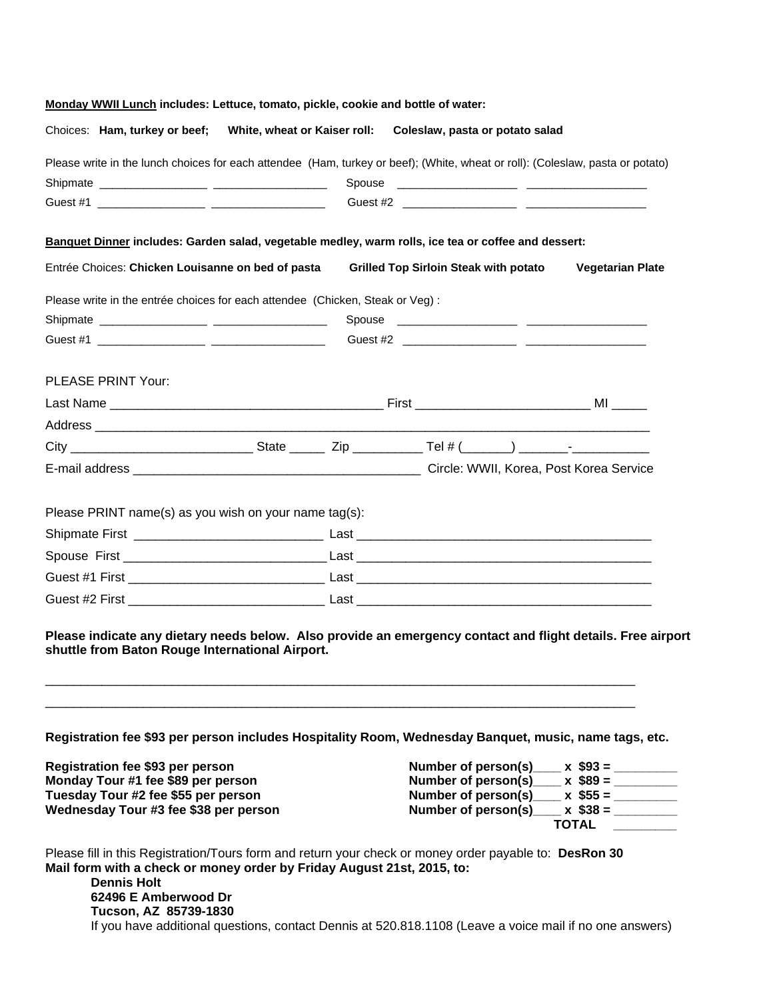| Monday WWII Lunch includes: Lettuce, tomato, pickle, cookie and bottle of water: |  |                                                                                                                                |                         |
|----------------------------------------------------------------------------------|--|--------------------------------------------------------------------------------------------------------------------------------|-------------------------|
| Choices: Ham, turkey or beef; White, wheat or Kaiser roll:                       |  | Coleslaw, pasta or potato salad                                                                                                |                         |
|                                                                                  |  | Please write in the lunch choices for each attendee (Ham, turkey or beef); (White, wheat or roll): (Coleslaw, pasta or potato) |                         |
|                                                                                  |  |                                                                                                                                |                         |
|                                                                                  |  |                                                                                                                                |                         |
|                                                                                  |  | Banquet Dinner includes: Garden salad, vegetable medley, warm rolls, ice tea or coffee and dessert:                            |                         |
| Entrée Choices: Chicken Louisanne on bed of pasta                                |  | <b>Grilled Top Sirloin Steak with potato</b>                                                                                   | <b>Vegetarian Plate</b> |
| Please write in the entrée choices for each attendee (Chicken, Steak or Veg) :   |  |                                                                                                                                |                         |
|                                                                                  |  |                                                                                                                                |                         |
|                                                                                  |  |                                                                                                                                |                         |
| <b>PLEASE PRINT Your:</b>                                                        |  |                                                                                                                                |                         |
|                                                                                  |  |                                                                                                                                |                         |
|                                                                                  |  |                                                                                                                                |                         |
|                                                                                  |  |                                                                                                                                |                         |
|                                                                                  |  |                                                                                                                                |                         |
| Please PRINT name(s) as you wish on your name tag(s):                            |  |                                                                                                                                |                         |
|                                                                                  |  |                                                                                                                                |                         |
|                                                                                  |  |                                                                                                                                |                         |
|                                                                                  |  |                                                                                                                                |                         |
| shuttle from Baton Rouge International Airport.                                  |  | Please indicate any dietary needs below. Also provide an emergency contact and flight details. Free airport                    |                         |
|                                                                                  |  | Registration fee \$93 per person includes Hospitality Room, Wednesday Banquet, music, name tags, etc.                          |                         |
| Registration fee \$93 per person                                                 |  | Number of person(s) $x$ \$93 = $\frac{1}{x}$                                                                                   |                         |
| Monday Tour #1 fee \$89 per person                                               |  | Number of person(s) $x$ \$89 = $\frac{1}{x}$                                                                                   |                         |
| Tuesday Tour #2 fee \$55 per person                                              |  | Number of person(s) $x$ \$55 = $\frac{1}{x}$                                                                                   |                         |
| Wednesday Tour #3 fee \$38 per person                                            |  | Number of person(s) $x$ \$38 = $\frac{1}{x}$                                                                                   | <b>TOTAL</b>            |
|                                                                                  |  |                                                                                                                                |                         |
|                                                                                  |  | Please fill in this Registration/Tours form and return your check or money order payable to: DesRon 30                         |                         |

**Mail form with a check or money order by Friday August 21st, 2015, to: Dennis Holt 62496 E Amberwood Dr** 

**Tucson, AZ 85739-1830** If you have additional questions, contact Dennis at 520.818.1108 (Leave a voice mail if no one answers)